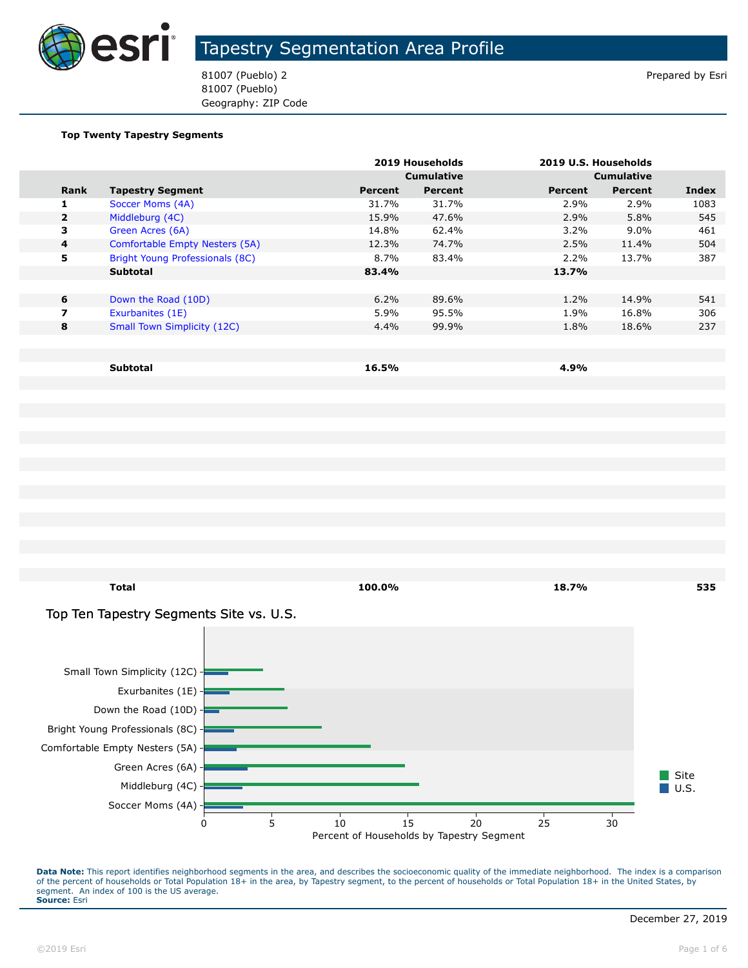

81007 (Pueblo) 2 Prepared by Esri 81007 (Pueblo) Geography: ZIP Code

#### **Top Twenty Tapestry Segments**

|                |                                    |         | 2019 Households   |         | 2019 U.S. Households |       |
|----------------|------------------------------------|---------|-------------------|---------|----------------------|-------|
|                |                                    |         | <b>Cumulative</b> |         | <b>Cumulative</b>    |       |
| Rank           | <b>Tapestry Segment</b>            | Percent | Percent           | Percent | Percent              | Index |
| ı              | Soccer Moms (4A)                   | 31.7%   | 31.7%             | 2.9%    | 2.9%                 | 1083  |
| $\overline{2}$ | Middleburg (4C)                    | 15.9%   | 47.6%             | 2.9%    | 5.8%                 | 545   |
| 3              | Green Acres (6A)                   | 14.8%   | 62.4%             | $3.2\%$ | $9.0\%$              | 461   |
| $\overline{4}$ | Comfortable Empty Nesters (5A)     | 12.3%   | 74.7%             | 2.5%    | 11.4%                | 504   |
| 5.             | Bright Young Professionals (8C)    | 8.7%    | 83.4%             | $2.2\%$ | 13.7%                | 387   |
|                | <b>Subtotal</b>                    | 83.4%   |                   | 13.7%   |                      |       |
|                |                                    |         |                   |         |                      |       |
| 6              | Down the Road (10D)                | 6.2%    | 89.6%             | 1.2%    | 14.9%                | 541   |
| 7              | Exurbanites (1E)                   | 5.9%    | 95.5%             | 1.9%    | 16.8%                | 306   |
| 8              | <b>Small Town Simplicity (12C)</b> | 4.4%    | 99.9%             | 1.8%    | 18.6%                | 237   |
|                |                                    |         |                   |         |                      |       |
|                |                                    |         |                   |         |                      |       |
|                | <b>Subtotal</b>                    | 16.5%   |                   | 4.9%    |                      |       |

**Total 100.0% 18.7% 535** Site  $\blacksquare$  U.S. Top Ten Tapestry Segments Site vs. U.S. Soccer Moms (4A) Middleburg (4C) Green Acres (6A) Comfortable Empty Nesters (5A) Bright Young Professionals (8C) Down the Road (10D) Exurbanites (1E) Small Town Simplicity (12C) Percent of Households by Tapestry Segment 0 5 10 15 20 25 30

Data Note: This report identifies neighborhood segments in the area, and describes the socioeconomic quality of the immediate neighborhood. The index is a comparison of the percent of households or Total Population 18+ in the area, by Tapestry segment, to the percent of households or Total Population 18+ in the United States, by segment. An index of 100 is the US average. **Source:** Esri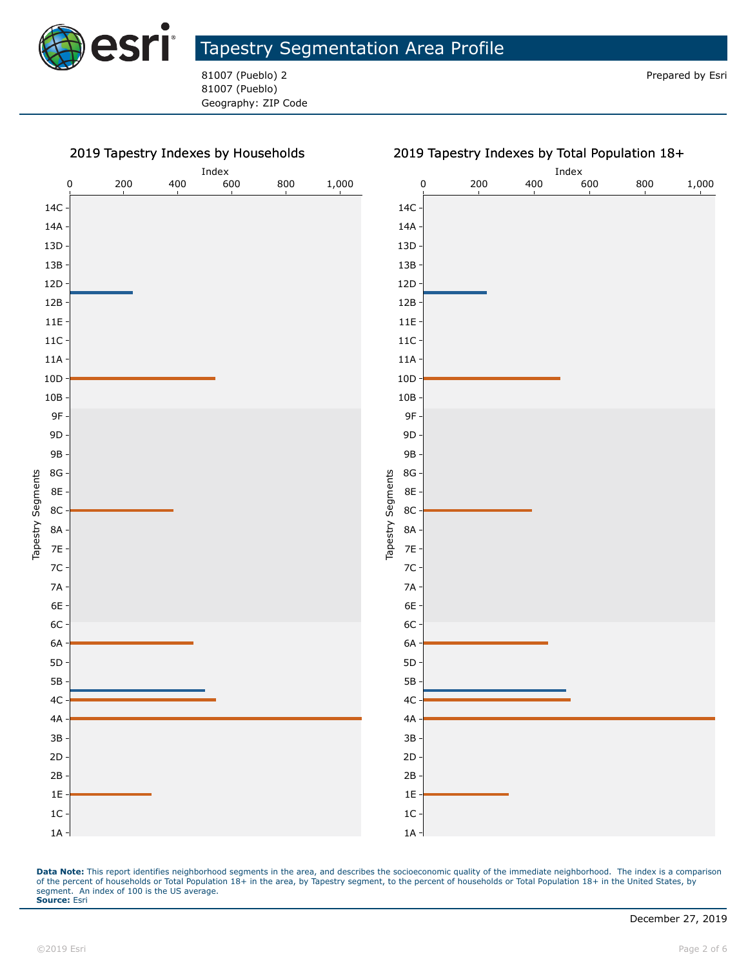

81007 (Pueblo) 2 **Prepared by Esri** Prepared by Esri 81007 (Pueblo) Geography: ZIP Code

#### 2019 Tapestry Indexes by Households



Data Note: This report identifies neighborhood segments in the area, and describes the socioeconomic quality of the immediate neighborhood. The index is a comparison of the percent of households or Total Population 18+ in the area, by Tapestry segment, to the percent of households or Total Population 18+ in the United States, by segment. An index of 100 is the US average. **Source:** Esri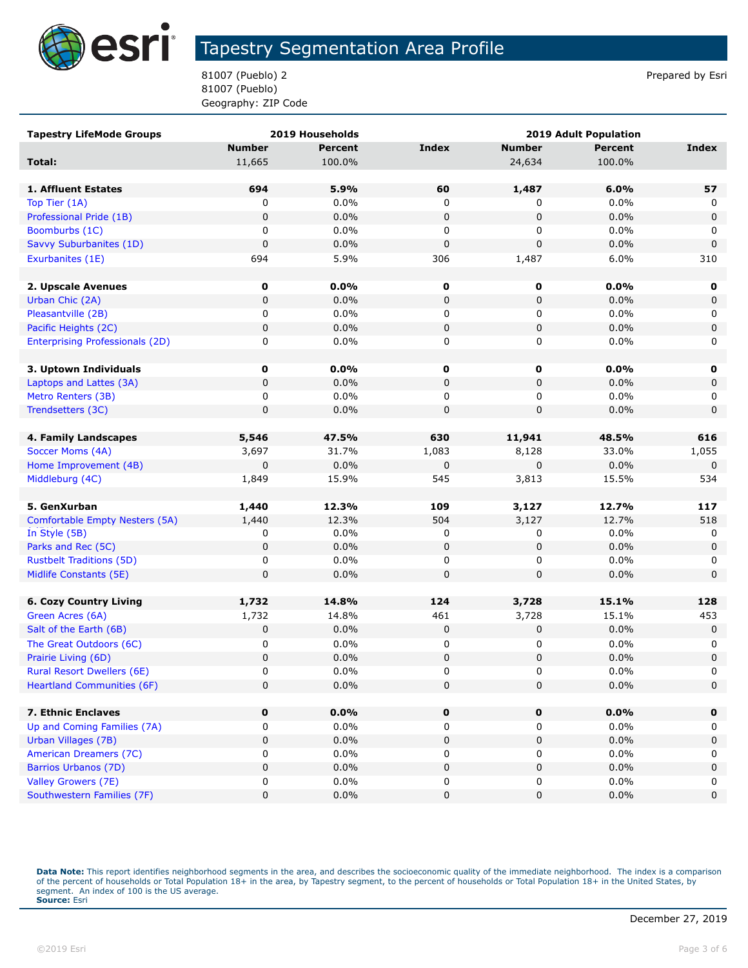

81007 (Pueblo) 2 Prepared by Esri 81007 (Pueblo) Geography: ZIP Code

| <b>Tapestry LifeMode Groups</b>        |               | 2019 Households | <b>2019 Adult Population</b> |               |                |             |
|----------------------------------------|---------------|-----------------|------------------------------|---------------|----------------|-------------|
|                                        | <b>Number</b> | <b>Percent</b>  | <b>Index</b>                 | <b>Number</b> | <b>Percent</b> | Index       |
| Total:                                 | 11,665        | 100.0%          |                              | 24,634        | 100.0%         |             |
|                                        |               |                 |                              |               |                |             |
| 1. Affluent Estates                    | 694           | 5.9%            | 60                           | 1,487         | 6.0%           | 57          |
| Top Tier (1A)                          | 0             | 0.0%            | 0                            | 0             | 0.0%           | 0           |
| Professional Pride (1B)                | $\mathbf 0$   | 0.0%            | 0                            | $\mathbf 0$   | 0.0%           | $\mathbf 0$ |
| Boomburbs (1C)                         | 0             | $0.0\%$         | 0                            | 0             | 0.0%           | 0           |
| Savvy Suburbanites (1D)                | 0             | 0.0%            | $\pmb{0}$                    | $\pmb{0}$     | 0.0%           | $\mathbf 0$ |
| Exurbanites (1E)                       | 694           | 5.9%            | 306                          | 1,487         | 6.0%           | 310         |
|                                        |               |                 |                              |               |                |             |
| 2. Upscale Avenues                     | 0             | 0.0%            | 0                            | 0             | $0.0\%$        | 0           |
| Urban Chic (2A)                        | 0             | 0.0%            | 0                            | 0             | 0.0%           | 0           |
| Pleasantville (2B)                     | 0             | 0.0%            | 0                            | 0             | 0.0%           | 0           |
| Pacific Heights (2C)                   | 0             | 0.0%            | 0                            | 0             | 0.0%           | 0           |
| <b>Enterprising Professionals (2D)</b> | 0             | $0.0\%$         | 0                            | 0             | 0.0%           | 0           |
|                                        |               |                 |                              |               |                |             |
| 3. Uptown Individuals                  | 0             | 0.0%            | 0                            | 0             | $0.0\%$        | 0           |
| Laptops and Lattes (3A)                | 0             | 0.0%            | 0                            | 0             | 0.0%           | 0           |
| Metro Renters (3B)                     | 0             | 0.0%            | 0                            | 0             | 0.0%           | 0           |
| Trendsetters (3C)                      | 0             | 0.0%            | 0                            | $\mathbf 0$   | 0.0%           | $\mathbf 0$ |
|                                        |               |                 |                              |               |                |             |
| 4. Family Landscapes                   | 5,546         | 47.5%           | 630                          | 11,941        | 48.5%          | 616         |
| Soccer Moms (4A)                       | 3,697         | 31.7%           | 1,083                        | 8,128         | 33.0%          | 1,055       |
| Home Improvement (4B)                  | $\mathbf 0$   | 0.0%            | 0                            | 0             | 0.0%           | $\mathbf 0$ |
| Middleburg (4C)                        | 1,849         | 15.9%           | 545                          | 3,813         | 15.5%          | 534         |
|                                        |               |                 |                              |               |                |             |
| 5. GenXurban                           | 1,440         | 12.3%           | 109                          | 3,127         | 12.7%          | 117         |
| Comfortable Empty Nesters (5A)         | 1,440         | 12.3%           | 504                          | 3,127         | 12.7%          | 518         |
| In Style (5B)                          | 0             | 0.0%            | 0                            | 0             | 0.0%           | 0           |
| Parks and Rec (5C)                     | $\mathbf 0$   | 0.0%            | 0                            | $\mathbf 0$   | 0.0%           | $\mathbf 0$ |
| <b>Rustbelt Traditions (5D)</b>        | 0             | $0.0\%$         | 0                            | 0             | 0.0%           | 0           |
| Midlife Constants (5E)                 | 0             | 0.0%            | 0                            | 0             | 0.0%           | $\mathbf 0$ |
|                                        |               |                 |                              |               |                |             |
| <b>6. Cozy Country Living</b>          | 1,732         | 14.8%           | 124                          | 3,728         | 15.1%          | 128         |
| Green Acres (6A)                       | 1,732         | 14.8%           | 461                          | 3,728         | 15.1%          | 453         |
| Salt of the Earth (6B)                 | 0             | 0.0%            | 0                            | 0             | 0.0%           | 0           |
| The Great Outdoors (6C)                | 0             | 0.0%            | 0                            | 0             | 0.0%           | 0           |
| Prairie Living (6D)                    | 0             | 0.0%            | 0                            | $\pmb{0}$     | 0.0%           | $\pmb{0}$   |
| <b>Rural Resort Dwellers (6E)</b>      | 0             | 0.0%            | 0                            | 0             | 0.0%           | 0           |
| <b>Heartland Communities (6F)</b>      | $\pmb{0}$     | $0.0\%$         | 0                            | $\pmb{0}$     | 0.0%           | 0           |
|                                        |               |                 |                              |               |                |             |
| 7. Ethnic Enclaves                     | 0             | 0.0%            | 0                            | 0             | 0.0%           | $\mathbf 0$ |
| Up and Coming Families (7A)            | 0             | 0.0%            | 0                            | $\mathbf 0$   | 0.0%           | 0           |
| Urban Villages (7B)                    | 0             | $0.0\%$         | 0                            | 0             | 0.0%           | 0           |
| American Dreamers (7C)                 | 0             | 0.0%            | 0                            | 0             | 0.0%           | 0           |
| Barrios Urbanos (7D)                   | 0             | $0.0\%$         | 0                            | 0             | 0.0%           | $\pmb{0}$   |
| Valley Growers (7E)                    | 0             | 0.0%            | 0                            | 0             | 0.0%           | 0           |
| Southwestern Families (7F)             | 0             | $0.0\%$         | 0                            | 0             | 0.0%           | $\pmb{0}$   |

Data Note: This report identifies neighborhood segments in the area, and describes the socioeconomic quality of the immediate neighborhood. The index is a comparison of the percent of households or Total Population 18+ in the area, by Tapestry segment, to the percent of households or Total Population 18+ in the United States, by<br>segment. An index of 100 is the US average.<br>**Source:** Es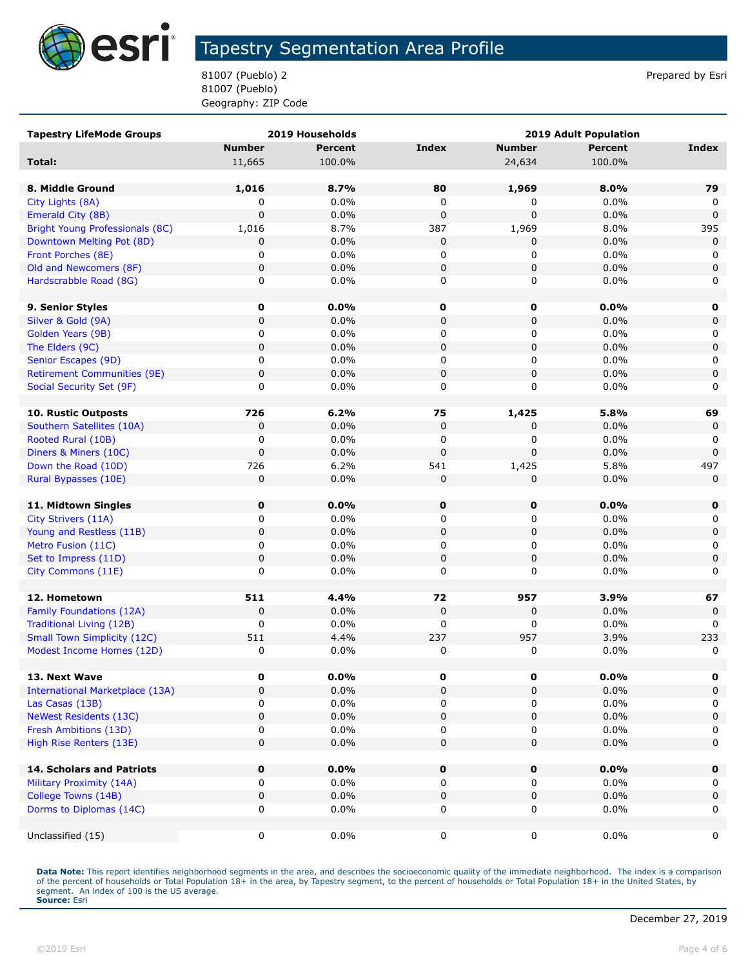

81007 (Pueblo) 2 Prepared by Esri 81007 (Pueblo) Geography: ZIP Code

| <b>Tapestry LifeMode Groups</b>                              |               | 2019 Households | <b>2019 Adult Population</b> |               |                 |              |
|--------------------------------------------------------------|---------------|-----------------|------------------------------|---------------|-----------------|--------------|
|                                                              | <b>Number</b> | <b>Percent</b>  | <b>Index</b>                 | <b>Number</b> | <b>Percent</b>  | <b>Index</b> |
| Total:                                                       | 11,665        | 100.0%          |                              | 24,634        | 100.0%          |              |
|                                                              |               |                 |                              |               |                 |              |
| 8. Middle Ground                                             | 1,016         | 8.7%            | 80                           | 1,969         | 8.0%            | 79           |
| City Lights (8A)                                             | 0             | 0.0%            | 0                            | 0             | 0.0%            | 0            |
| Emerald City (8B)                                            | $\mathbf 0$   | 0.0%            | $\mathbf 0$                  | 0             | 0.0%            | $\Omega$     |
| Bright Young Professionals (8C)                              | 1,016         | 8.7%            | 387                          | 1,969         | 8.0%            | 395          |
| Downtown Melting Pot (8D)                                    | 0             | 0.0%            | 0                            | 0             | 0.0%            | 0            |
| Front Porches (8E)                                           | 0             | 0.0%            | 0                            | 0             | 0.0%            | 0            |
| Old and Newcomers (8F)                                       | 0             | 0.0%            | $\mathbf 0$                  | 0             | 0.0%            | $\mathbf 0$  |
| Hardscrabble Road (8G)                                       | 0             | 0.0%            | 0                            | 0             | 0.0%            | 0            |
|                                                              |               |                 |                              |               |                 |              |
| 9. Senior Styles                                             | 0             | $0.0\%$         | 0                            | $\mathbf 0$   | $0.0\%$         | 0            |
| Silver & Gold (9A)                                           | $\pmb{0}$     | 0.0%            | $\pmb{0}$                    | 0             | 0.0%            | 0            |
| Golden Years (9B)                                            | 0             | 0.0%            | 0                            | 0             | 0.0%            | 0            |
| The Elders (9C)                                              | $\pmb{0}$     | 0.0%            | $\pmb{0}$                    | 0             | 0.0%            | $\mathbf 0$  |
| Senior Escapes (9D)                                          | 0             | 0.0%            | 0                            | 0             | 0.0%            | 0            |
| <b>Retirement Communities (9E)</b>                           | $\pmb{0}$     | 0.0%            | $\pmb{0}$                    | $\pmb{0}$     | 0.0%            | $\mathsf 0$  |
| Social Security Set (9F)                                     | 0             | 0.0%            | 0                            | 0             | 0.0%            | 0            |
|                                                              |               |                 |                              |               |                 |              |
| 10. Rustic Outposts                                          | 726           | 6.2%            | 75                           | 1,425         | 5.8%            | 69           |
| Southern Satellites (10A)                                    | 0             | 0.0%            | 0                            | 0             | 0.0%            | 0            |
| Rooted Rural (10B)                                           | 0             | 0.0%            | $\pmb{0}$                    | 0             | 0.0%            | 0            |
| Diners & Miners (10C)                                        | 0             | 0.0%            | $\mathbf 0$                  | $\mathbf 0$   | 0.0%            | $\mathbf 0$  |
| Down the Road (10D)                                          | 726           | 6.2%            | 541                          | 1,425         | 5.8%            | 497          |
| Rural Bypasses (10E)                                         | 0             | 0.0%            | 0                            | 0             | 0.0%            | $\mathbf 0$  |
|                                                              |               |                 |                              |               |                 |              |
| 11. Midtown Singles                                          | 0             | $0.0\%$         | $\pmb{0}$                    | $\mathbf 0$   | 0.0%            | 0            |
| City Strivers (11A)                                          | 0             | 0.0%            | 0                            | 0             | 0.0%            | 0            |
| Young and Restless (11B)                                     | 0             | 0.0%            | $\mathbf 0$                  | 0             | 0.0%            | $\mathsf 0$  |
| Metro Fusion (11C)                                           | 0             | 0.0%            | 0                            | 0             | 0.0%            | 0            |
| Set to Impress (11D)                                         | 0             | 0.0%            | $\pmb{0}$                    | 0             | 0.0%            | $\mathbf 0$  |
| City Commons (11E)                                           | 0             | 0.0%            | 0                            | 0             | 0.0%            | 0            |
|                                                              |               |                 |                              |               |                 |              |
| 12. Hometown                                                 | 511           | 4.4%            | 72                           | 957           | 3.9%            | 67           |
| Family Foundations (12A)                                     | $\mathbf 0$   | 0.0%            | $\mathbf 0$                  | $\pmb{0}$     | 0.0%            | $\mathbf 0$  |
| <b>Traditional Living (12B)</b>                              | 0             | 0.0%            | 0                            | 0             | 0.0%            | 0            |
| <b>Small Town Simplicity (12C)</b>                           | 511           | 4.4%            | 237                          | 957           | 3.9%            | 233          |
| Modest Income Homes (12D)                                    | $\pmb{0}$     | 0.0%            | 0                            | 0             | 0.0%            | 0            |
|                                                              |               |                 |                              |               |                 |              |
| 13. Next Wave                                                | 0             | $0.0\%$         | 0                            | 0             | 0.0%            | 0            |
| <b>International Marketplace (13A)</b>                       | 0             | 0.0%            | $\pmb{0}$                    | 0             | 0.0%            | 0            |
| Las Casas (13B)                                              | 0             | 0.0%            | 0                            | 0             | 0.0%            | 0            |
| <b>NeWest Residents (13C)</b>                                | 0             | 0.0%            | $\pmb{0}$                    | 0             | 0.0%            | $\mathbf 0$  |
| Fresh Ambitions (13D)                                        | 0             | 0.0%            | 0                            | 0             | 0.0%            | 0            |
| High Rise Renters (13E)                                      | $\mathbf 0$   | 0.0%            | 0                            | 0             | 0.0%            | 0            |
|                                                              |               |                 |                              |               |                 |              |
| <b>14. Scholars and Patriots</b><br>Military Proximity (14A) | 0<br>0        | 0.0%<br>0.0%    | $\pmb{0}$<br>0               | $\pmb{0}$     | 0.0%<br>$0.0\%$ | $\mathbf 0$  |
|                                                              |               | 0.0%            |                              | 0             |                 | 0            |
| College Towns (14B)                                          | 0             | 0.0%            | $\pmb{0}$                    | 0             | 0.0%<br>$0.0\%$ | $\mathbf 0$  |
| Dorms to Diplomas (14C)                                      | 0             |                 | 0                            | 0             |                 | 0            |
| Unclassified (15)                                            | 0             | 0.0%            | 0                            | 0             | $0.0\%$         | 0            |
|                                                              |               |                 |                              |               |                 |              |

Data Note: This report identifies neighborhood segments in the area, and describes the socioeconomic quality of the immediate neighborhood. The index is a comparison of the percent of households or Total Population 18+ in the area, by Tapestry segment, to the percent of households or Total Population 18+ in the United States, by<br>segment. An index of 100 is the US average.<br>**Source:** Es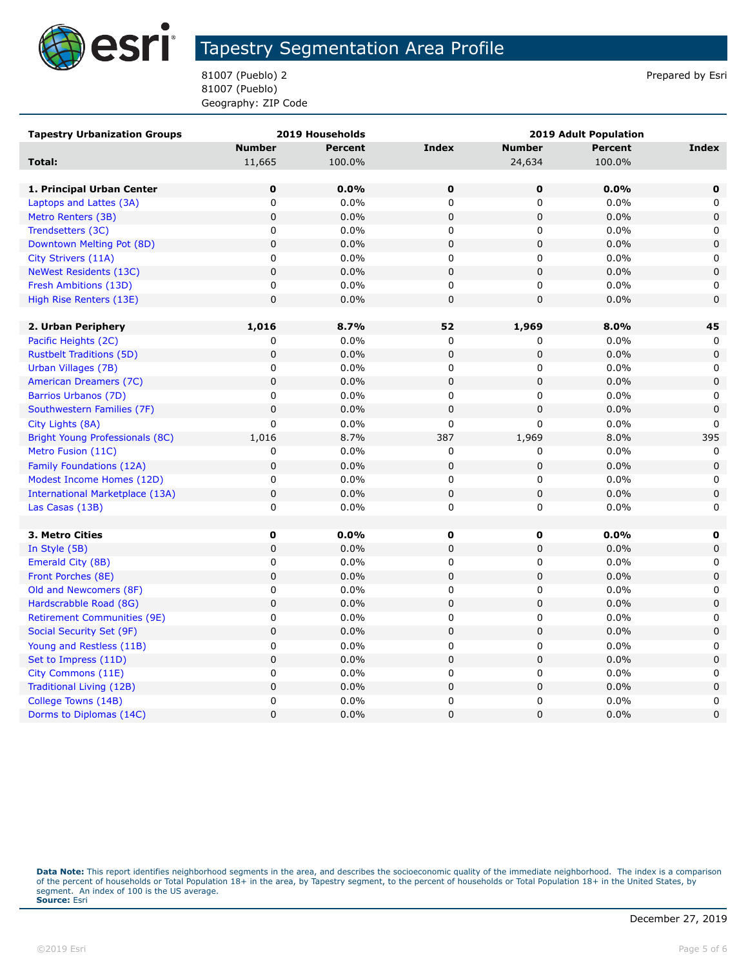

81007 (Pueblo) 2 Prepared by Esri 81007 (Pueblo) Geography: ZIP Code

| <b>Tapestry Urbanization Groups</b> |               | 2019 Households | <b>2019 Adult Population</b> |               |                |              |
|-------------------------------------|---------------|-----------------|------------------------------|---------------|----------------|--------------|
|                                     | <b>Number</b> | <b>Percent</b>  | <b>Index</b>                 | <b>Number</b> | <b>Percent</b> | Index        |
| Total:                              | 11,665        | 100.0%          |                              | 24,634        | 100.0%         |              |
|                                     |               |                 |                              |               |                |              |
| 1. Principal Urban Center           | $\mathbf 0$   | 0.0%            | $\mathbf 0$                  | $\mathbf 0$   | 0.0%           | $\mathbf 0$  |
| Laptops and Lattes (3A)             | 0             | 0.0%            | 0                            | 0             | 0.0%           | 0            |
| Metro Renters (3B)                  | $\mathbf 0$   | 0.0%            | $\mathbf 0$                  | $\mathbf 0$   | 0.0%           | $\mathbf 0$  |
| Trendsetters (3C)                   | 0             | 0.0%            | 0                            | 0             | 0.0%           | 0            |
| Downtown Melting Pot (8D)           | $\mathbf 0$   | 0.0%            | $\mathsf 0$                  | 0             | 0.0%           | $\mathbf 0$  |
| City Strivers (11A)                 | $\mathsf 0$   | 0.0%            | $\mathbf 0$                  | 0             | 0.0%           | 0            |
| <b>NeWest Residents (13C)</b>       | $\mathbf 0$   | 0.0%            | $\mathbf 0$                  | 0             | 0.0%           | $\mathbf 0$  |
| Fresh Ambitions (13D)               | $\pmb{0}$     | 0.0%            | $\pmb{0}$                    | 0             | 0.0%           | 0            |
| High Rise Renters (13E)             | $\mathbf 0$   | 0.0%            | $\mathbf 0$                  | 0             | 0.0%           | $\mathbf 0$  |
|                                     |               |                 |                              |               |                |              |
| 2. Urban Periphery                  | 1,016         | 8.7%            | 52                           | 1,969         | 8.0%           | 45           |
| Pacific Heights (2C)                | 0             | 0.0%            | $\pmb{0}$                    | 0             | 0.0%           | 0            |
| <b>Rustbelt Traditions (5D)</b>     | $\mathbf 0$   | 0.0%            | $\mathbf 0$                  | 0             | 0.0%           | 0            |
| Urban Villages (7B)                 | $\mathbf 0$   | 0.0%            | $\mathbf 0$                  | 0             | 0.0%           | $\mathbf 0$  |
| American Dreamers (7C)              | $\pmb{0}$     | 0.0%            | $\pmb{0}$                    | 0             | 0.0%           | $\pmb{0}$    |
| Barrios Urbanos (7D)                | 0             | 0.0%            | $\pmb{0}$                    | 0             | 0.0%           | 0            |
| Southwestern Families (7F)          | $\mathbf 0$   | 0.0%            | $\mathbf 0$                  | 0             | 0.0%           | $\mathbf 0$  |
| City Lights (8A)                    | $\mathsf 0$   | 0.0%            | $\mathbf 0$                  | 0             | 0.0%           | $\mathbf{0}$ |
| Bright Young Professionals (8C)     | 1,016         | 8.7%            | 387                          | 1,969         | 8.0%           | 395          |
| Metro Fusion (11C)                  | 0             | 0.0%            | 0                            | 0             | 0.0%           | $\mathbf{0}$ |
| Family Foundations (12A)            | $\mathbf 0$   | 0.0%            | $\mathbf 0$                  | 0             | 0.0%           | 0            |
| Modest Income Homes (12D)           | $\mathsf 0$   | 0.0%            | 0                            | 0             | 0.0%           | 0            |
| International Marketplace (13A)     | $\mathbf 0$   | 0.0%            | $\mathbf 0$                  | 0             | 0.0%           | $\mathbf 0$  |
| Las Casas (13B)                     | $\pmb{0}$     | 0.0%            | $\mathbf 0$                  | 0             | 0.0%           | 0            |
|                                     |               |                 |                              |               |                |              |
| 3. Metro Cities                     | 0             | $0.0\%$         | 0                            | 0             | $0.0\%$        | 0            |
| In Style (5B)                       | $\pmb{0}$     | 0.0%            | $\pmb{0}$                    | 0             | 0.0%           | 0            |
| Emerald City (8B)                   | $\pmb{0}$     | 0.0%            | $\pmb{0}$                    | 0             | 0.0%           | 0            |
| Front Porches (8E)                  | $\mathbf 0$   | 0.0%            | $\mathbf 0$                  | 0             | 0.0%           | $\mathsf 0$  |
| Old and Newcomers (8F)              | 0             | 0.0%            | 0                            | 0             | 0.0%           | 0            |
| Hardscrabble Road (8G)              | $\pmb{0}$     | 0.0%            | $\pmb{0}$                    | 0             | 0.0%           | $\pmb{0}$    |
| <b>Retirement Communities (9E)</b>  | 0             | 0.0%            | 0                            | 0             | 0.0%           | 0            |
| Social Security Set (9F)            | $\mathbf 0$   | 0.0%            | $\mathbf 0$                  | 0             | 0.0%           | $\mathbf 0$  |
| Young and Restless (11B)            | $\pmb{0}$     | 0.0%            | $\pmb{0}$                    | 0             | 0.0%           | 0            |
| Set to Impress (11D)                | $\pmb{0}$     | 0.0%            | $\mathbf 0$                  | 0             | 0.0%           | $\mathbf 0$  |
| City Commons (11E)                  | 0             | 0.0%            | 0                            | 0             | 0.0%           | 0            |
| Traditional Living (12B)            | $\pmb{0}$     | 0.0%            | $\pmb{0}$                    | 0             | 0.0%           | $\mathbf 0$  |
| College Towns (14B)                 | $\mathsf 0$   | 0.0%            | $\pmb{0}$                    | 0             | 0.0%           | 0            |
| Dorms to Diplomas (14C)             | 0             | 0.0%            | $\mathbf 0$                  | $\mathbf 0$   | 0.0%           | $\mathbf 0$  |

Data Note: This report identifies neighborhood segments in the area, and describes the socioeconomic quality of the immediate neighborhood. The index is a comparison of the percent of households or Total Population 18+ in the area, by Tapestry segment, to the percent of households or Total Population 18+ in the United States, by<br>segment. An index of 100 is the US average.<br>**Source:** Es